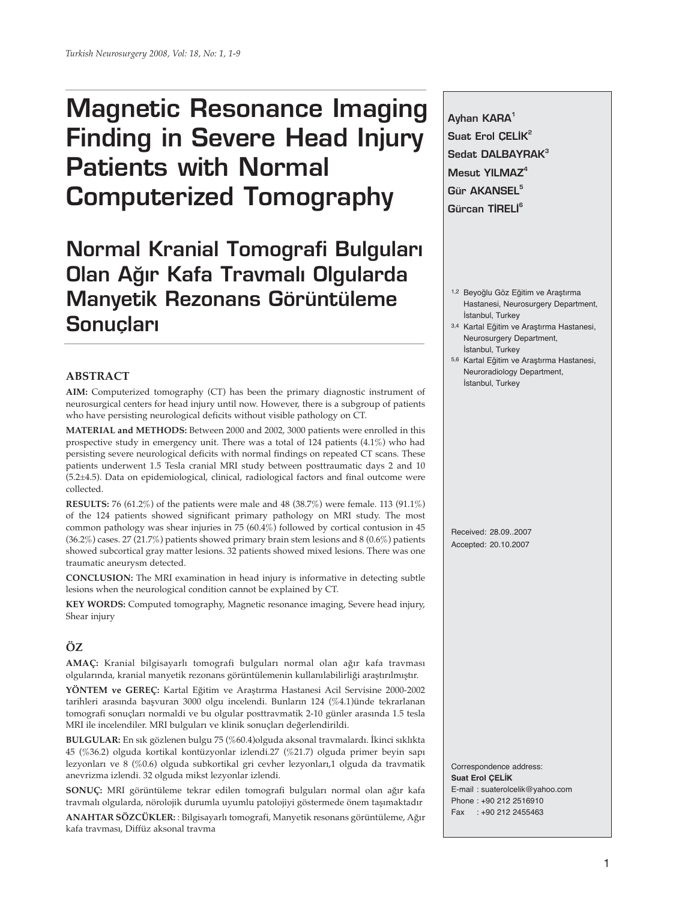# **Magnetic Resonance Imaging Finding in Severe Head Injury Patients with Normal Computerized Tomography**

**Normal Kranial Tomografi Bulgular› Olan Ağır Kafa Travmalı Olgularda Manyetik Rezonans Görüntüleme Sonucları** 

# **ABSTRACT**

**AIM:** Computerized tomography (CT) has been the primary diagnostic instrument of neurosurgical centers for head injury until now. However, there is a subgroup of patients who have persisting neurological deficits without visible pathology on CT.

**MATERIAL and METHODS:** Between 2000 and 2002, 3000 patients were enrolled in this prospective study in emergency unit. There was a total of 124 patients (4.1%) who had persisting severe neurological deficits with normal findings on repeated CT scans. These patients underwent 1.5 Tesla cranial MRI study between posttraumatic days 2 and 10 (5.2±4.5). Data on epidemiological, clinical, radiological factors and final outcome were collected.

**RESULTS:** 76 (61.2%) of the patients were male and 48 (38.7%) were female. 113 (91.1%) of the 124 patients showed significant primary pathology on MRI study. The most common pathology was shear injuries in 75 (60.4%) followed by cortical contusion in 45  $(36.2\%)$  cases. 27 (21.7%) patients showed primary brain stem lesions and 8 (0.6%) patients showed subcortical gray matter lesions. 32 patients showed mixed lesions. There was one traumatic aneurysm detected.

**CONCLUSION:** The MRI examination in head injury is informative in detecting subtle lesions when the neurological condition cannot be explained by CT.

**KEY WORDS:** Computed tomography, Magnetic resonance imaging, Severe head injury, Shear injury

## **ÖZ**

**AMAÇ:** Kranial bilgisayarlı tomografi bulguları normal olan ağır kafa travması olgularında, kranial manyetik rezonans görüntülemenin kullanılabilirliği araştırılmıştır.

**YÖNTEM ve GEREÇ:** Kartal Eğitim ve Araştırma Hastanesi Acil Servisine 2000-2002 tarihleri arasında başvuran 3000 olgu incelendi. Bunların 124 (%4.1)ünde tekrarlanan tomografi sonuçları normaldi ve bu olgular posttravmatik 2-10 günler arasında 1.5 tesla MRI ile incelendiler. MRI bulguları ve klinik sonuçları değerlendirildi.

**BULGULAR:** En sık gözlenen bulgu 75 (%60.4)olguda aksonal travmalardı. İkinci sıklıkta 45 (%36.2) olguda kortikal kontüzyonlar izlendi.27 (%21.7) olguda primer beyin sapı lezyonları ve 8 (%0.6) olguda subkortikal gri cevher lezyonları,1 olguda da travmatik anevrizma izlendi. 32 olguda mikst lezyonlar izlendi.

**SONUÇ:** MRI görüntüleme tekrar edilen tomografi bulguları normal olan ağır kafa travmalı olgularda, nörolojik durumla uyumlu patolojiyi göstermede önem taşımaktadır

**ANAHTAR SÖZCÜKLER:** : Bilgisayarlı tomografi, Manyetik resonans görüntüleme, Ağır kafa travması, Diffüz aksonal travma

**Ayhan KARA1 Suat Erol CELIK<sup>2</sup> Sedat DALBAYRAK3 Mesut YILMAZ4 Gür AKANSEL5 Gürcan TİRELİ<sup>6</sup>** 

- 1,2 Beyoğlu Göz Eğitim ve Araştırma Hastanesi, Neurosurgery Department, İstanbul, Turkey
- 3,4 Kartal Eğitim ve Araştırma Hastanesi, Neurosurgery Department, İstanbul, Turkey
- 5,6 Kartal Eğitim ve Araştırma Hastanesi, Neuroradiology Department, İstanbul, Turkey

Received: 28.09..2007 Accepted: 20.10.2007

Correspondence address: **Suat Erol ÇELİK** E-mail : suaterolcelik@yahoo.com Phone : +90 212 2516910 Fax : +90 212 2455463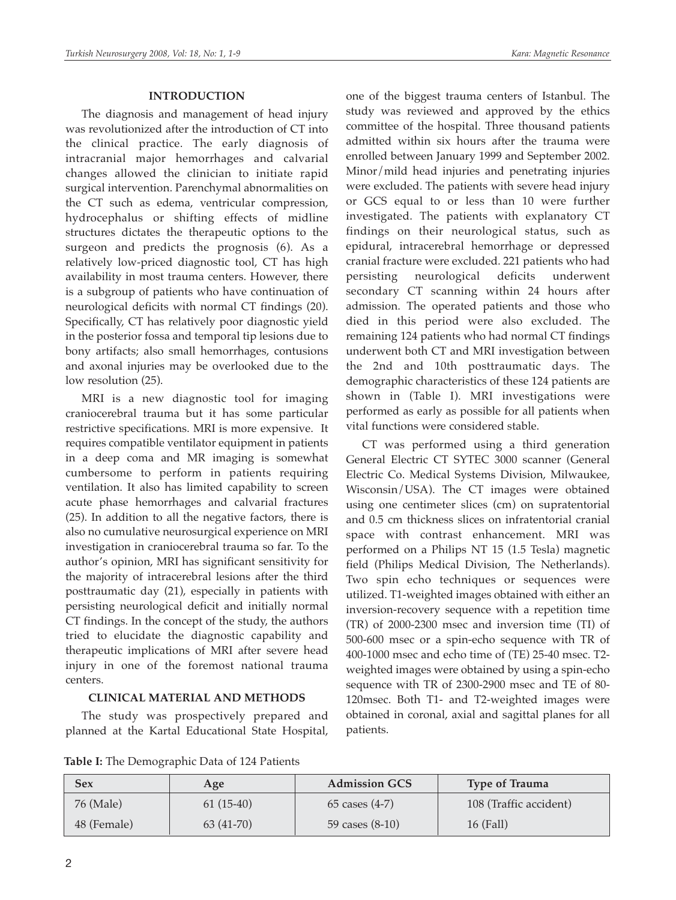# **INTRODUCTION**

The diagnosis and management of head injury was revolutionized after the introduction of CT into the clinical practice. The early diagnosis of intracranial major hemorrhages and calvarial changes allowed the clinician to initiate rapid surgical intervention. Parenchymal abnormalities on the CT such as edema, ventricular compression, hydrocephalus or shifting effects of midline structures dictates the therapeutic options to the surgeon and predicts the prognosis (6). As a relatively low-priced diagnostic tool, CT has high availability in most trauma centers. However, there is a subgroup of patients who have continuation of neurological deficits with normal CT findings (20). Specifically, CT has relatively poor diagnostic yield in the posterior fossa and temporal tip lesions due to bony artifacts; also small hemorrhages, contusions and axonal injuries may be overlooked due to the low resolution (25).

MRI is a new diagnostic tool for imaging craniocerebral trauma but it has some particular restrictive specifications. MRI is more expensive. It requires compatible ventilator equipment in patients in a deep coma and MR imaging is somewhat cumbersome to perform in patients requiring ventilation. It also has limited capability to screen acute phase hemorrhages and calvarial fractures (25). In addition to all the negative factors, there is also no cumulative neurosurgical experience on MRI investigation in craniocerebral trauma so far. To the author's opinion, MRI has significant sensitivity for the majority of intracerebral lesions after the third posttraumatic day (21), especially in patients with persisting neurological deficit and initially normal CT findings. In the concept of the study, the authors tried to elucidate the diagnostic capability and therapeutic implications of MRI after severe head injury in one of the foremost national trauma centers.

## **CLINICAL MATERIAL AND METHODS**

The study was prospectively prepared and planned at the Kartal Educational State Hospital, one of the biggest trauma centers of Istanbul. The study was reviewed and approved by the ethics committee of the hospital. Three thousand patients admitted within six hours after the trauma were enrolled between January 1999 and September 2002. Minor/mild head injuries and penetrating injuries were excluded. The patients with severe head injury or GCS equal to or less than 10 were further investigated. The patients with explanatory CT findings on their neurological status, such as epidural, intracerebral hemorrhage or depressed cranial fracture were excluded. 221 patients who had persisting neurological deficits underwent secondary CT scanning within 24 hours after admission. The operated patients and those who died in this period were also excluded. The remaining 124 patients who had normal CT findings underwent both CT and MRI investigation between the 2nd and 10th posttraumatic days. The demographic characteristics of these 124 patients are shown in (Table I). MRI investigations were performed as early as possible for all patients when vital functions were considered stable.

CT was performed using a third generation General Electric CT SYTEC 3000 scanner (General Electric Co. Medical Systems Division, Milwaukee, Wisconsin/USA). The CT images were obtained using one centimeter slices (cm) on supratentorial and 0.5 cm thickness slices on infratentorial cranial space with contrast enhancement. MRI was performed on a Philips NT 15 (1.5 Tesla) magnetic field (Philips Medical Division, The Netherlands). Two spin echo techniques or sequences were utilized. T1-weighted images obtained with either an inversion-recovery sequence with a repetition time (TR) of 2000-2300 msec and inversion time (TI) of 500-600 msec or a spin-echo sequence with TR of 400-1000 msec and echo time of (TE) 25-40 msec. T2 weighted images were obtained by using a spin-echo sequence with TR of 2300-2900 msec and TE of 80- 120msec. Both T1- and T2-weighted images were obtained in coronal, axial and sagittal planes for all patients.

| <b>Sex</b>  | Age         | <b>Admission GCS</b> | <b>Type of Trauma</b>  |
|-------------|-------------|----------------------|------------------------|
| 76 (Male)   | $61(15-40)$ | 65 cases $(4-7)$     | 108 (Traffic accident) |
| 48 (Female) | $63(41-70)$ | 59 cases $(8-10)$    | 16 (Fall)              |

**Table I:** The Demographic Data of 124 Patients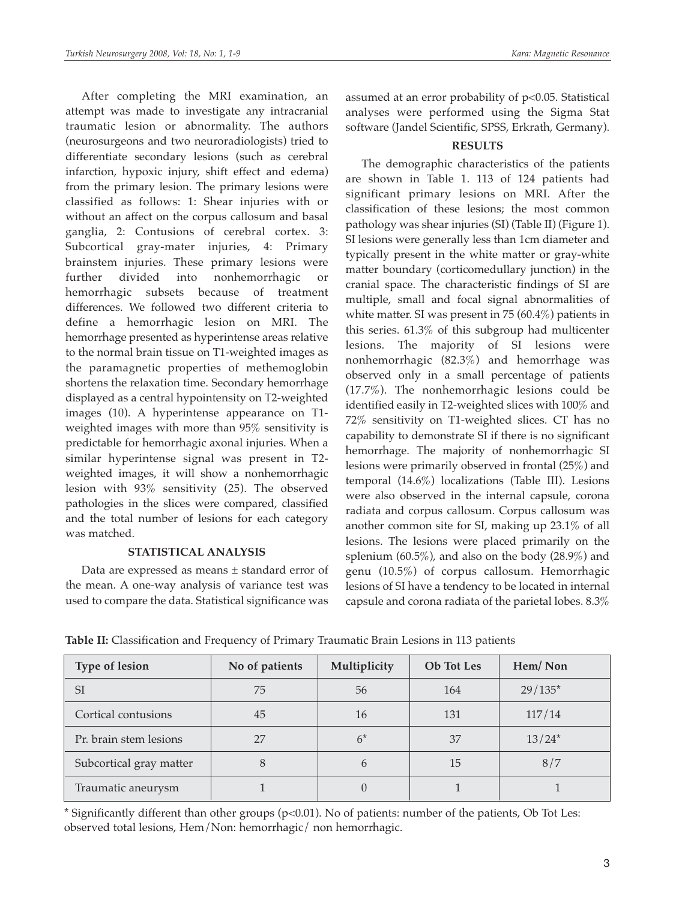After completing the MRI examination, an attempt was made to investigate any intracranial traumatic lesion or abnormality. The authors (neurosurgeons and two neuroradiologists) tried to differentiate secondary lesions (such as cerebral infarction, hypoxic injury, shift effect and edema) from the primary lesion. The primary lesions were classified as follows: 1: Shear injuries with or without an affect on the corpus callosum and basal ganglia, 2: Contusions of cerebral cortex. 3: Subcortical gray-mater injuries, 4: Primary brainstem injuries. These primary lesions were further divided into nonhemorrhagic or hemorrhagic subsets because of treatment differences. We followed two different criteria to define a hemorrhagic lesion on MRI. The hemorrhage presented as hyperintense areas relative to the normal brain tissue on T1-weighted images as the paramagnetic properties of methemoglobin shortens the relaxation time. Secondary hemorrhage displayed as a central hypointensity on T2-weighted images (10). A hyperintense appearance on T1 weighted images with more than 95% sensitivity is predictable for hemorrhagic axonal injuries. When a similar hyperintense signal was present in T2 weighted images, it will show a nonhemorrhagic lesion with 93% sensitivity (25). The observed pathologies in the slices were compared, classified and the total number of lesions for each category was matched.

## **STATISTICAL ANALYSIS**

Data are expressed as means ± standard error of the mean. A one-way analysis of variance test was used to compare the data. Statistical significance was

assumed at an error probability of p<0.05. Statistical analyses were performed using the Sigma Stat software (Jandel Scientific, SPSS, Erkrath, Germany).

# **RESULTS**

The demographic characteristics of the patients are shown in Table 1. 113 of 124 patients had significant primary lesions on MRI. After the classification of these lesions; the most common pathology was shear injuries (SI) (Table II) (Figure 1). SI lesions were generally less than 1cm diameter and typically present in the white matter or gray-white matter boundary (corticomedullary junction) in the cranial space. The characteristic findings of SI are multiple, small and focal signal abnormalities of white matter. SI was present in 75 (60.4%) patients in this series. 61.3% of this subgroup had multicenter lesions. The majority of SI lesions were nonhemorrhagic (82.3%) and hemorrhage was observed only in a small percentage of patients (17.7%). The nonhemorrhagic lesions could be identified easily in T2-weighted slices with 100% and 72% sensitivity on T1-weighted slices. CT has no capability to demonstrate SI if there is no significant hemorrhage. The majority of nonhemorrhagic SI lesions were primarily observed in frontal (25%) and temporal (14.6%) localizations (Table III). Lesions were also observed in the internal capsule, corona radiata and corpus callosum. Corpus callosum was another common site for SI, making up 23.1% of all lesions. The lesions were placed primarily on the splenium (60.5%), and also on the body (28.9%) and genu (10.5%) of corpus callosum. Hemorrhagic lesions of SI have a tendency to be located in internal capsule and corona radiata of the parietal lobes. 8.3%

| Type of lesion          | No of patients | Multiplicity | <b>Ob</b> Tot Les | Hem/Non   |
|-------------------------|----------------|--------------|-------------------|-----------|
| SI                      | 75             | 56           | 164               | $29/135*$ |
| Cortical contusions     | 45             | 16           | 131               | 117/14    |
| Pr. brain stem lesions  | 27             | $6*$         | 37                | $13/24*$  |
| Subcortical gray matter |                | b            | 15                | 8/7       |
| Traumatic aneurysm      |                |              |                   |           |

**Table II:** Classification and Frequency of Primary Traumatic Brain Lesions in 113 patients

\* Significantly different than other groups (p<0.01). No of patients: number of the patients, Ob Tot Les: observed total lesions, Hem/Non: hemorrhagic/ non hemorrhagic.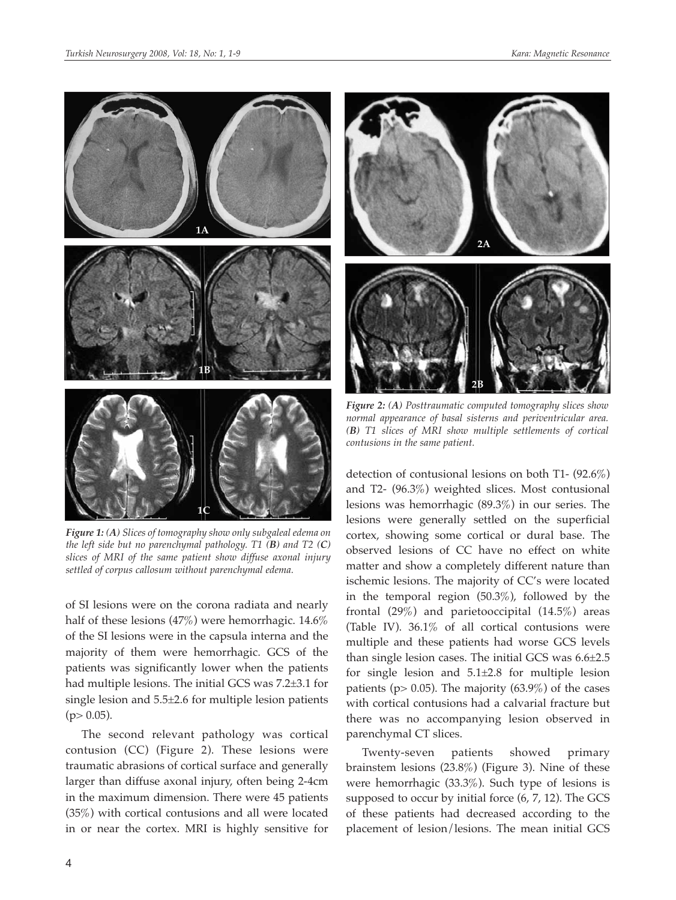

*Figure 1: (A) Slices of tomography show only subgaleal edema on the left side but no parenchymal pathology. T1 (B) and T2 (C) slices of MRI of the same patient show diffuse axonal injury settled of corpus callosum without parenchymal edema.*

of SI lesions were on the corona radiata and nearly half of these lesions (47%) were hemorrhagic. 14.6% of the SI lesions were in the capsula interna and the majority of them were hemorrhagic. GCS of the patients was significantly lower when the patients had multiple lesions. The initial GCS was 7.2±3.1 for single lesion and 5.5±2.6 for multiple lesion patients  $(p> 0.05)$ .

The second relevant pathology was cortical contusion (CC) (Figure 2). These lesions were traumatic abrasions of cortical surface and generally larger than diffuse axonal injury, often being 2-4cm in the maximum dimension. There were 45 patients (35%) with cortical contusions and all were located in or near the cortex. MRI is highly sensitive for



*Figure 2: (A) Posttraumatic computed tomography slices show normal appearance of basal sisterns and periventricular area. (B) T1 slices of MRI show multiple settlements of cortical contusions in the same patient.*

detection of contusional lesions on both T1- (92.6%) and T2- (96.3%) weighted slices. Most contusional lesions was hemorrhagic (89.3%) in our series. The lesions were generally settled on the superficial cortex, showing some cortical or dural base. The observed lesions of CC have no effect on white matter and show a completely different nature than ischemic lesions. The majority of CC's were located in the temporal region (50.3%), followed by the frontal (29%) and parietooccipital (14.5%) areas (Table IV). 36.1% of all cortical contusions were multiple and these patients had worse GCS levels than single lesion cases. The initial GCS was 6.6±2.5 for single lesion and 5.1±2.8 for multiple lesion patients ( $p$  > 0.05). The majority (63.9%) of the cases with cortical contusions had a calvarial fracture but there was no accompanying lesion observed in parenchymal CT slices.

Twenty-seven patients showed primary brainstem lesions (23.8%) (Figure 3). Nine of these were hemorrhagic (33.3%). Such type of lesions is supposed to occur by initial force (6, 7, 12). The GCS of these patients had decreased according to the placement of lesion/lesions. The mean initial GCS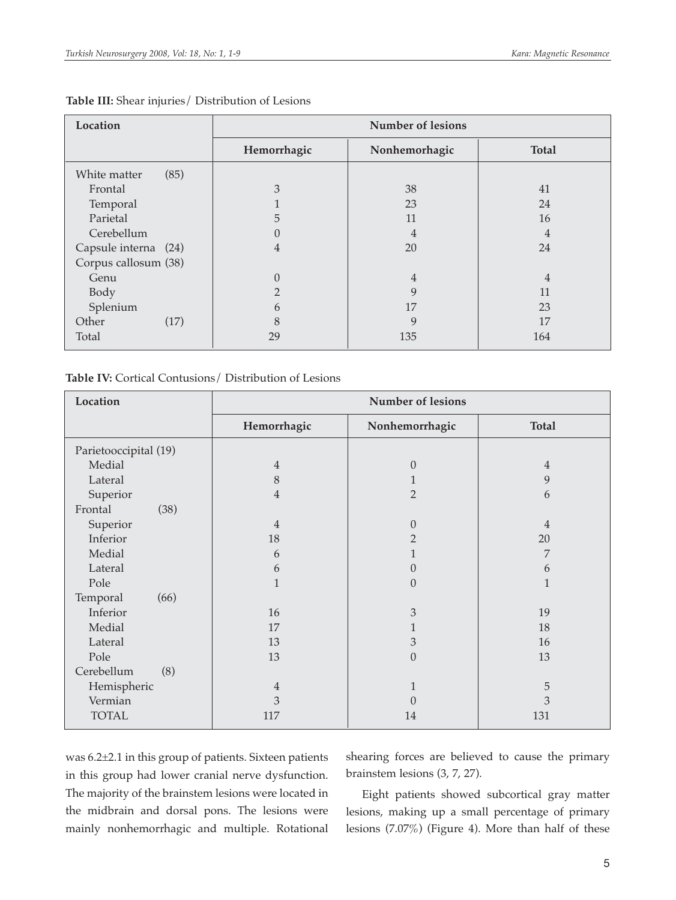| Location             | <b>Number of lesions</b> |                |                |
|----------------------|--------------------------|----------------|----------------|
|                      | Hemorrhagic              | Nonhemorhagic  | <b>Total</b>   |
| White matter<br>(85) |                          |                |                |
| Frontal              | 3                        | 38             | 41             |
| Temporal             |                          | 23             | 24             |
| Parietal             | 5                        | 11             | 16             |
| Cerebellum           | $\Omega$                 | $\overline{4}$ | $\overline{4}$ |
| Capsule interna (24) | 4                        | 20             | 24             |
| Corpus callosum (38) |                          |                |                |
| Genu                 | $\overline{0}$           | $\overline{4}$ | 4              |
| Body                 | $\overline{2}$           | 9              | 11             |
| Splenium             | 6                        | 17             | 23             |
| (17)<br>Other        | 8                        | 9              | 17             |
| Total                | 29                       | 135            | 164            |

#### **Table III:** Shear injuries/ Distribution of Lesions

#### **Table IV:** Cortical Contusions/ Distribution of Lesions

| Location              | <b>Number of lesions</b> |                |              |
|-----------------------|--------------------------|----------------|--------------|
|                       | Hemorrhagic              | Nonhemorrhagic | <b>Total</b> |
| Parietooccipital (19) |                          |                |              |
| Medial                | $\overline{4}$           | $\theta$       | 4            |
| Lateral               | 8                        |                | 9            |
| Superior              | 4                        | $\overline{2}$ | 6            |
| Frontal<br>(38)       |                          |                |              |
| Superior              | $\overline{4}$           | $\theta$       | 4            |
| Inferior              | 18                       | $\overline{2}$ | $20\,$       |
| Medial                | 6                        |                | 7            |
| Lateral               | 6                        | $\Omega$       | 6            |
| Pole                  | 1                        | $\Omega$       | $\mathbf{1}$ |
| Temporal<br>(66)      |                          |                |              |
| Inferior              | 16                       | 3              | 19           |
| Medial                | 17                       | 1              | 18           |
| Lateral               | 13                       | 3              | 16           |
| Pole                  | 13                       | $\theta$       | 13           |
| Cerebellum<br>(8)     |                          |                |              |
| Hemispheric           | $\overline{4}$           | 1              | 5            |
| Vermian               | 3                        | $\Omega$       | 3            |
| <b>TOTAL</b>          | 117                      | 14             | 131          |

was 6.2±2.1 in this group of patients. Sixteen patients in this group had lower cranial nerve dysfunction. The majority of the brainstem lesions were located in the midbrain and dorsal pons. The lesions were mainly nonhemorrhagic and multiple. Rotational shearing forces are believed to cause the primary brainstem lesions (3, 7, 27).

Eight patients showed subcortical gray matter lesions, making up a small percentage of primary lesions (7.07%) (Figure 4). More than half of these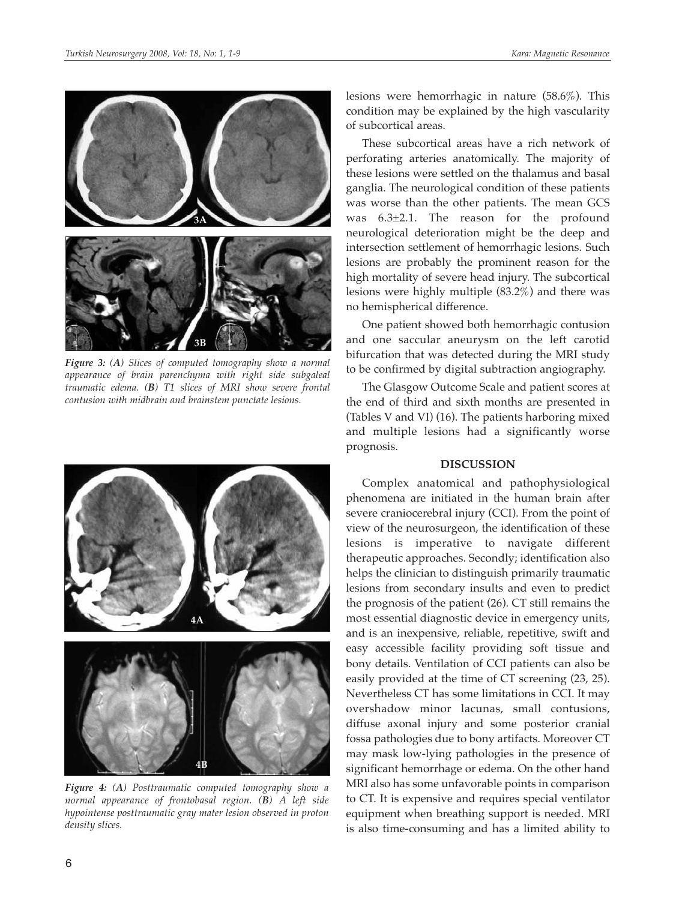

*Figure 3: (A) Slices of computed tomography show a normal appearance of brain parenchyma with right side subgaleal traumatic edema. (B) T1 slices of MRI show severe frontal contusion with midbrain and brainstem punctate lesions.*



*Figure 4: (A) Posttraumatic computed tomography show a normal appearance of frontobasal region. (B) A left side hypointense posttraumatic gray mater lesion observed in proton density slices.*

lesions were hemorrhagic in nature (58.6%). This condition may be explained by the high vascularity of subcortical areas.

These subcortical areas have a rich network of perforating arteries anatomically. The majority of these lesions were settled on the thalamus and basal ganglia. The neurological condition of these patients was worse than the other patients. The mean GCS was 6.3±2.1. The reason for the profound neurological deterioration might be the deep and intersection settlement of hemorrhagic lesions. Such lesions are probably the prominent reason for the high mortality of severe head injury. The subcortical lesions were highly multiple (83.2%) and there was no hemispherical difference.

One patient showed both hemorrhagic contusion and one saccular aneurysm on the left carotid bifurcation that was detected during the MRI study to be confirmed by digital subtraction angiography.

The Glasgow Outcome Scale and patient scores at the end of third and sixth months are presented in (Tables V and VI) (16). The patients harboring mixed and multiple lesions had a significantly worse prognosis.

#### **DISCUSSION**

Complex anatomical and pathophysiological phenomena are initiated in the human brain after severe craniocerebral injury (CCI). From the point of view of the neurosurgeon, the identification of these lesions is imperative to navigate different therapeutic approaches. Secondly; identification also helps the clinician to distinguish primarily traumatic lesions from secondary insults and even to predict the prognosis of the patient (26). CT still remains the most essential diagnostic device in emergency units, and is an inexpensive, reliable, repetitive, swift and easy accessible facility providing soft tissue and bony details. Ventilation of CCI patients can also be easily provided at the time of CT screening (23, 25). Nevertheless CT has some limitations in CCI. It may overshadow minor lacunas, small contusions, diffuse axonal injury and some posterior cranial fossa pathologies due to bony artifacts. Moreover CT may mask low-lying pathologies in the presence of significant hemorrhage or edema. On the other hand MRI also has some unfavorable points in comparison to CT. It is expensive and requires special ventilator equipment when breathing support is needed. MRI is also time-consuming and has a limited ability to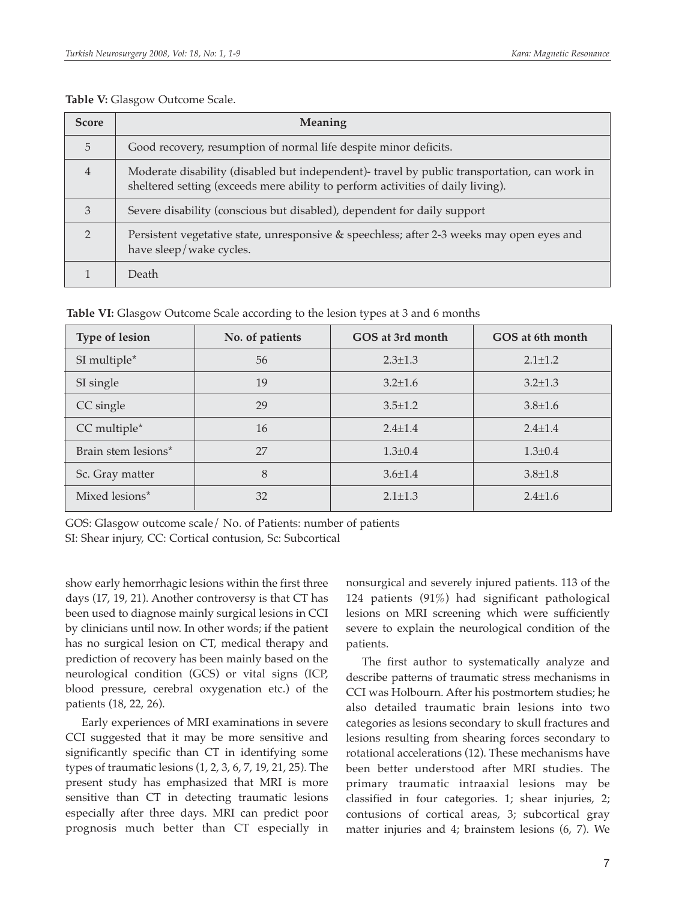| <b>Score</b>   | <b>Meaning</b>                                                                                                                                                                  |
|----------------|---------------------------------------------------------------------------------------------------------------------------------------------------------------------------------|
| 5              | Good recovery, resumption of normal life despite minor deficits.                                                                                                                |
| $\overline{4}$ | Moderate disability (disabled but independent)- travel by public transportation, can work in<br>sheltered setting (exceeds mere ability to perform activities of daily living). |
| 3              | Severe disability (conscious but disabled), dependent for daily support                                                                                                         |
| C              | Persistent vegetative state, unresponsive & speechless; after 2-3 weeks may open eyes and<br>have sleep/wake cycles.                                                            |
|                | Death                                                                                                                                                                           |

#### **Table V:** Glasgow Outcome Scale.

**Table VI:** Glasgow Outcome Scale according to the lesion types at 3 and 6 months

| <b>Type of lesion</b>           | No. of patients | GOS at 3rd month | GOS at 6th month |
|---------------------------------|-----------------|------------------|------------------|
| SI multiple*                    | 56              | $2.3 \pm 1.3$    | $2.1 \pm 1.2$    |
| SI single                       | 19              | $3.2 + 1.6$      | $3.2 + 1.3$      |
| CC single                       | 29              | $3.5 \pm 1.2$    | $3.8 \pm 1.6$    |
| CC multiple*                    | 16              | $2.4 \pm 1.4$    | $2.4 \pm 1.4$    |
| Brain stem lesions <sup>*</sup> | 27              | $1.3 \pm 0.4$    | $1.3 \pm 0.4$    |
| Sc. Gray matter                 | 8               | $3.6 \pm 1.4$    | $3.8 \pm 1.8$    |
| Mixed lesions*                  | 32              | $2.1 \pm 1.3$    | $2.4 \pm 1.6$    |

GOS: Glasgow outcome scale/ No. of Patients: number of patients

SI: Shear injury, CC: Cortical contusion, Sc: Subcortical

show early hemorrhagic lesions within the first three days (17, 19, 21). Another controversy is that CT has been used to diagnose mainly surgical lesions in CCI by clinicians until now. In other words; if the patient has no surgical lesion on CT, medical therapy and prediction of recovery has been mainly based on the neurological condition (GCS) or vital signs (ICP, blood pressure, cerebral oxygenation etc.) of the patients (18, 22, 26).

Early experiences of MRI examinations in severe CCI suggested that it may be more sensitive and significantly specific than CT in identifying some types of traumatic lesions (1, 2, 3, 6, 7, 19, 21, 25). The present study has emphasized that MRI is more sensitive than CT in detecting traumatic lesions especially after three days. MRI can predict poor prognosis much better than CT especially in

nonsurgical and severely injured patients. 113 of the 124 patients (91%) had significant pathological lesions on MRI screening which were sufficiently severe to explain the neurological condition of the patients.

The first author to systematically analyze and describe patterns of traumatic stress mechanisms in CCI was Holbourn. After his postmortem studies; he also detailed traumatic brain lesions into two categories as lesions secondary to skull fractures and lesions resulting from shearing forces secondary to rotational accelerations (12). These mechanisms have been better understood after MRI studies. The primary traumatic intraaxial lesions may be classified in four categories. 1; shear injuries, 2; contusions of cortical areas, 3; subcortical gray matter injuries and 4; brainstem lesions (6, 7). We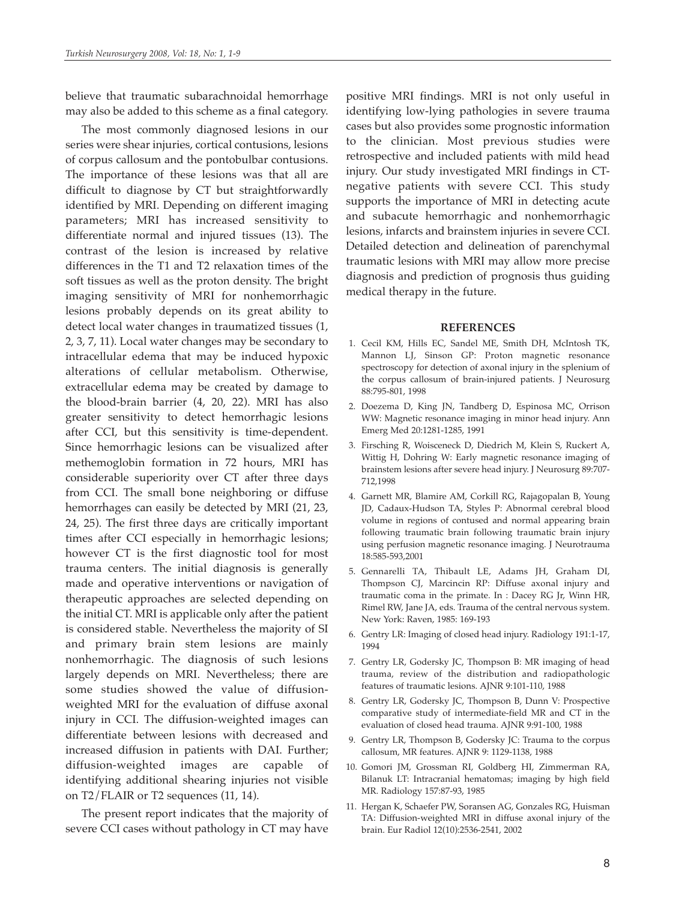believe that traumatic subarachnoidal hemorrhage may also be added to this scheme as a final category.

The most commonly diagnosed lesions in our series were shear injuries, cortical contusions, lesions of corpus callosum and the pontobulbar contusions. The importance of these lesions was that all are difficult to diagnose by CT but straightforwardly identified by MRI. Depending on different imaging parameters; MRI has increased sensitivity to differentiate normal and injured tissues (13). The contrast of the lesion is increased by relative differences in the T1 and T2 relaxation times of the soft tissues as well as the proton density. The bright imaging sensitivity of MRI for nonhemorrhagic lesions probably depends on its great ability to detect local water changes in traumatized tissues (1, 2, 3, 7, 11). Local water changes may be secondary to intracellular edema that may be induced hypoxic alterations of cellular metabolism. Otherwise, extracellular edema may be created by damage to the blood-brain barrier (4, 20, 22). MRI has also greater sensitivity to detect hemorrhagic lesions after CCI, but this sensitivity is time-dependent. Since hemorrhagic lesions can be visualized after methemoglobin formation in 72 hours, MRI has considerable superiority over CT after three days from CCI. The small bone neighboring or diffuse hemorrhages can easily be detected by MRI (21, 23, 24, 25). The first three days are critically important times after CCI especially in hemorrhagic lesions; however CT is the first diagnostic tool for most trauma centers. The initial diagnosis is generally made and operative interventions or navigation of therapeutic approaches are selected depending on the initial CT. MRI is applicable only after the patient is considered stable. Nevertheless the majority of SI and primary brain stem lesions are mainly nonhemorrhagic. The diagnosis of such lesions largely depends on MRI. Nevertheless; there are some studies showed the value of diffusionweighted MRI for the evaluation of diffuse axonal injury in CCI. The diffusion-weighted images can differentiate between lesions with decreased and increased diffusion in patients with DAI. Further; diffusion-weighted images are capable of identifying additional shearing injuries not visible on T2/FLAIR or T2 sequences (11, 14).

The present report indicates that the majority of severe CCI cases without pathology in CT may have

positive MRI findings. MRI is not only useful in identifying low-lying pathologies in severe trauma cases but also provides some prognostic information to the clinician. Most previous studies were retrospective and included patients with mild head injury. Our study investigated MRI findings in CTnegative patients with severe CCI. This study supports the importance of MRI in detecting acute and subacute hemorrhagic and nonhemorrhagic lesions, infarcts and brainstem injuries in severe CCI. Detailed detection and delineation of parenchymal traumatic lesions with MRI may allow more precise diagnosis and prediction of prognosis thus guiding medical therapy in the future.

#### **REFERENCES**

- 1. Cecil KM, Hills EC, Sandel ME, Smith DH, McIntosh TK, Mannon LJ, Sinson GP: Proton magnetic resonance spectroscopy for detection of axonal injury in the splenium of the corpus callosum of brain-injured patients. J Neurosurg 88:795-801, 1998
- 2. Doezema D, King JN, Tandberg D, Espinosa MC, Orrison WW: Magnetic resonance imaging in minor head injury. Ann Emerg Med 20:1281-1285, 1991
- 3. Firsching R, Woisceneck D, Diedrich M, Klein S, Ruckert A, Wittig H, Dohring W: Early magnetic resonance imaging of brainstem lesions after severe head injury. J Neurosurg 89:707- 712,1998
- 4. Garnett MR, Blamire AM, Corkill RG, Rajagopalan B, Young JD, Cadaux-Hudson TA, Styles P: Abnormal cerebral blood volume in regions of contused and normal appearing brain following traumatic brain following traumatic brain injury using perfusion magnetic resonance imaging. J Neurotrauma 18:585-593,2001
- 5. Gennarelli TA, Thibault LE, Adams JH, Graham DI, Thompson CJ, Marcincin RP: Diffuse axonal injury and traumatic coma in the primate. In : Dacey RG Jr, Winn HR, Rimel RW, Jane JA, eds. Trauma of the central nervous system. New York: Raven, 1985: 169-193
- 6. Gentry LR: Imaging of closed head injury. Radiology 191:1-17, 1994
- 7. Gentry LR, Godersky JC, Thompson B: MR imaging of head trauma, review of the distribution and radiopathologic features of traumatic lesions. AJNR 9:101-110, 1988
- 8. Gentry LR, Godersky JC, Thompson B, Dunn V: Prospective comparative study of intermediate-field MR and CT in the evaluation of closed head trauma. AJNR 9:91-100, 1988
- 9. Gentry LR, Thompson B, Godersky JC: Trauma to the corpus callosum, MR features. AJNR 9: 1129-1138, 1988
- 10. Gomori JM, Grossman RI, Goldberg HI, Zimmerman RA, Bilanuk LT: Intracranial hematomas; imaging by high field MR. Radiology 157:87-93, 1985
- 11. Hergan K, Schaefer PW, Soransen AG, Gonzales RG, Huisman TA: Diffusion-weighted MRI in diffuse axonal injury of the brain. Eur Radiol 12(10):2536-2541, 2002